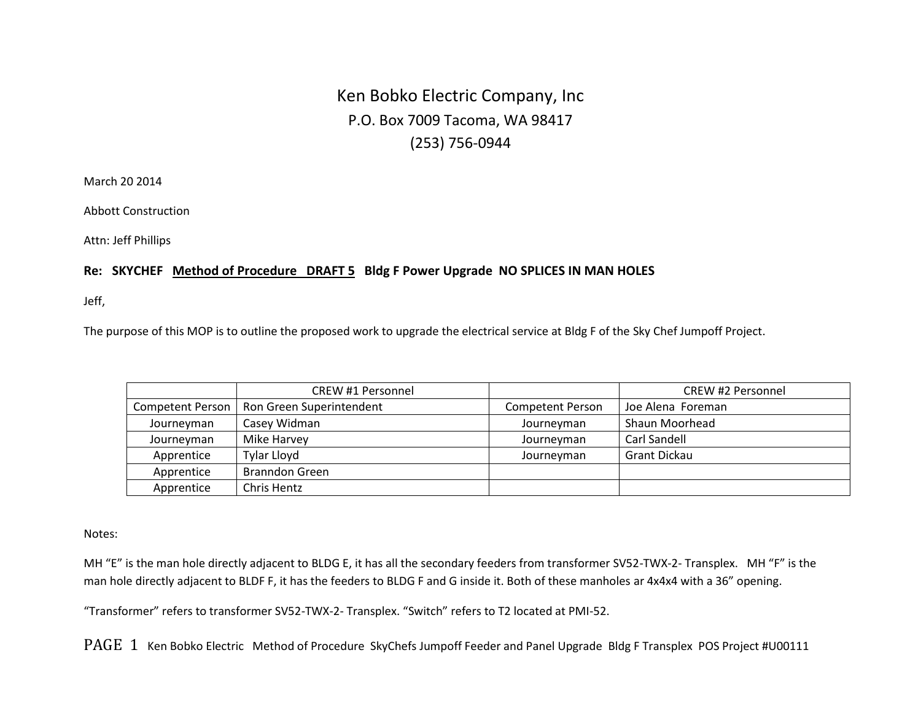## Ken Bobko Electric Company, Inc P.O. Box 7009 Tacoma, WA 98417 (253) 756-0944

March 20 2014

Abbott Construction

Attn: Jeff Phillips

## **Re: SKYCHEF Method of Procedure DRAFT 5 Bldg F Power Upgrade NO SPLICES IN MAN HOLES**

Jeff,

The purpose of this MOP is to outline the proposed work to upgrade the electrical service at Bldg F of the Sky Chef Jumpoff Project.

|                  | CREW #1 Personnel        |                         | <b>CREW #2 Personnel</b> |
|------------------|--------------------------|-------------------------|--------------------------|
| Competent Person | Ron Green Superintendent | <b>Competent Person</b> | Joe Alena Foreman        |
| Journeyman       | Casey Widman             | Journeyman              | Shaun Moorhead           |
| Journeyman       | Mike Harvey              | Journeyman              | Carl Sandell             |
| Apprentice       | Tylar Lloyd              | Journeyman              | Grant Dickau             |
| Apprentice       | <b>Branndon Green</b>    |                         |                          |
| Apprentice       | Chris Hentz              |                         |                          |

Notes:

MH "E" is the man hole directly adjacent to BLDG E, it has all the secondary feeders from transformer SV52-TWX-2- Transplex. MH "F" is the man hole directly adjacent to BLDF F, it has the feeders to BLDG F and G inside it. Both of these manholes ar 4x4x4 with a 36" opening.

"Transformer" refers to transformer SV52-TWX-2- Transplex. "Switch" refers to T2 located at PMI-52.

PAGE 1 Ken Bobko Electric Method of Procedure SkyChefs Jumpoff Feeder and Panel Upgrade Bldg F Transplex POS Project #U00111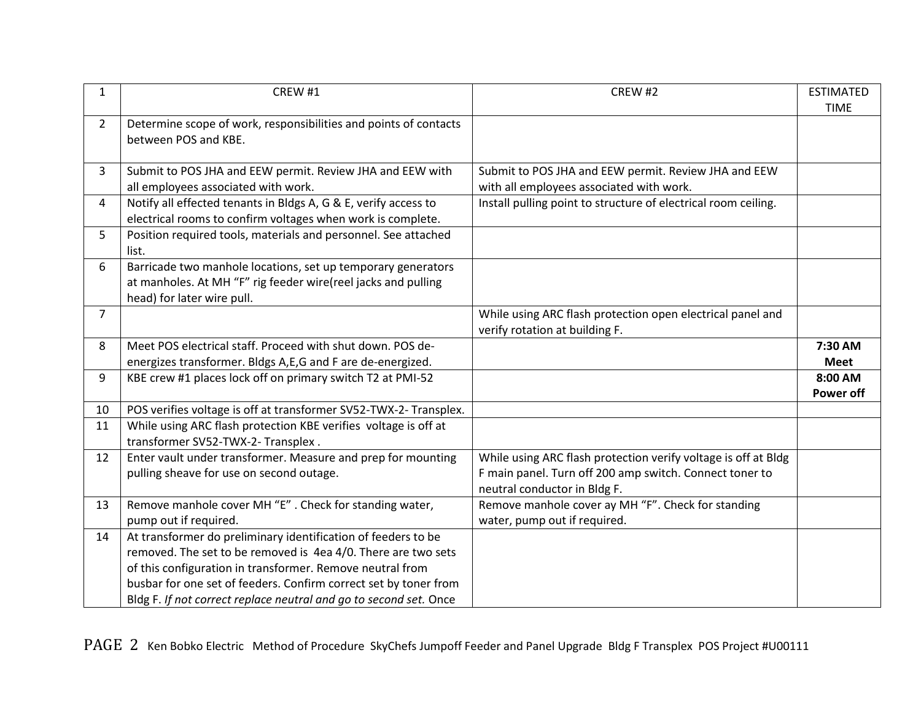| 1              | CREW #1                                                                                                                                                                                                                                                                                                                              | CREW #2                                                                                                                                                   | <b>ESTIMATED</b><br><b>TIME</b> |
|----------------|--------------------------------------------------------------------------------------------------------------------------------------------------------------------------------------------------------------------------------------------------------------------------------------------------------------------------------------|-----------------------------------------------------------------------------------------------------------------------------------------------------------|---------------------------------|
| $\overline{2}$ | Determine scope of work, responsibilities and points of contacts<br>between POS and KBE.                                                                                                                                                                                                                                             |                                                                                                                                                           |                                 |
| 3              | Submit to POS JHA and EEW permit. Review JHA and EEW with<br>all employees associated with work.                                                                                                                                                                                                                                     | Submit to POS JHA and EEW permit. Review JHA and EEW<br>with all employees associated with work.                                                          |                                 |
| 4              | Notify all effected tenants in Bldgs A, G & E, verify access to<br>electrical rooms to confirm voltages when work is complete.                                                                                                                                                                                                       | Install pulling point to structure of electrical room ceiling.                                                                                            |                                 |
| 5              | Position required tools, materials and personnel. See attached<br>list.                                                                                                                                                                                                                                                              |                                                                                                                                                           |                                 |
| 6              | Barricade two manhole locations, set up temporary generators<br>at manholes. At MH "F" rig feeder wire(reel jacks and pulling<br>head) for later wire pull.                                                                                                                                                                          |                                                                                                                                                           |                                 |
| $\overline{7}$ |                                                                                                                                                                                                                                                                                                                                      | While using ARC flash protection open electrical panel and<br>verify rotation at building F.                                                              |                                 |
| 8              | Meet POS electrical staff. Proceed with shut down. POS de-<br>energizes transformer. Bldgs A,E,G and F are de-energized.                                                                                                                                                                                                             |                                                                                                                                                           | 7:30 AM<br><b>Meet</b>          |
| 9              | KBE crew #1 places lock off on primary switch T2 at PMI-52                                                                                                                                                                                                                                                                           |                                                                                                                                                           | 8:00 AM<br>Power off            |
| 10             | POS verifies voltage is off at transformer SV52-TWX-2- Transplex.                                                                                                                                                                                                                                                                    |                                                                                                                                                           |                                 |
| 11             | While using ARC flash protection KBE verifies voltage is off at<br>transformer SV52-TWX-2- Transplex.                                                                                                                                                                                                                                |                                                                                                                                                           |                                 |
| 12             | Enter vault under transformer. Measure and prep for mounting<br>pulling sheave for use on second outage.                                                                                                                                                                                                                             | While using ARC flash protection verify voltage is off at Bldg<br>F main panel. Turn off 200 amp switch. Connect toner to<br>neutral conductor in Bldg F. |                                 |
| 13             | Remove manhole cover MH "E". Check for standing water,<br>pump out if required.                                                                                                                                                                                                                                                      | Remove manhole cover ay MH "F". Check for standing<br>water, pump out if required.                                                                        |                                 |
| 14             | At transformer do preliminary identification of feeders to be<br>removed. The set to be removed is 4ea 4/0. There are two sets<br>of this configuration in transformer. Remove neutral from<br>busbar for one set of feeders. Confirm correct set by toner from<br>Bldg F. If not correct replace neutral and go to second set. Once |                                                                                                                                                           |                                 |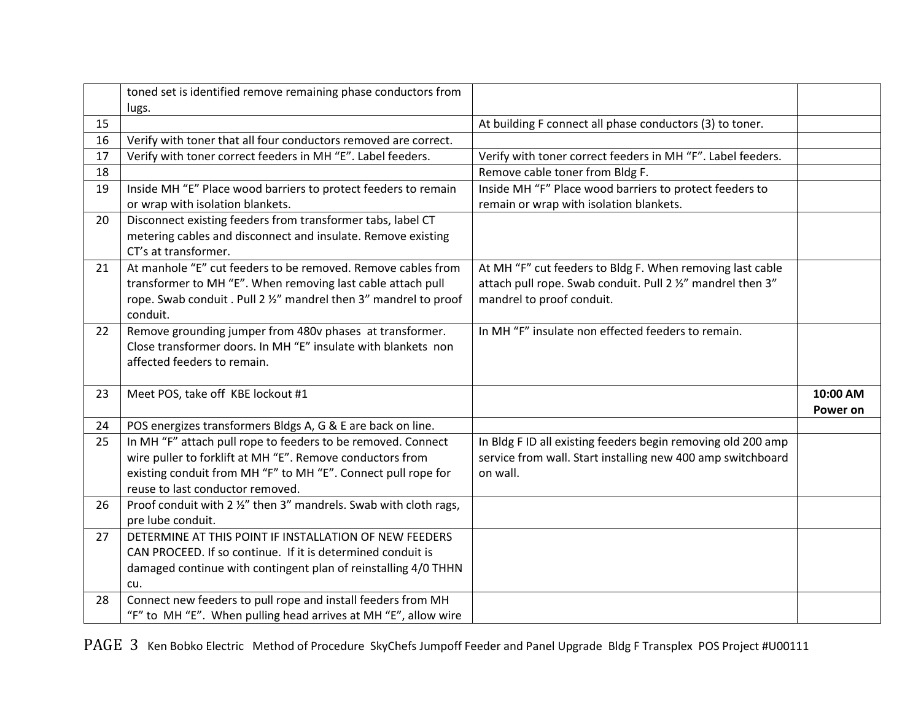|    | toned set is identified remove remaining phase conductors from<br>lugs. |                                                              |          |
|----|-------------------------------------------------------------------------|--------------------------------------------------------------|----------|
| 15 |                                                                         | At building F connect all phase conductors (3) to toner.     |          |
| 16 | Verify with toner that all four conductors removed are correct.         |                                                              |          |
| 17 | Verify with toner correct feeders in MH "E". Label feeders.             | Verify with toner correct feeders in MH "F". Label feeders.  |          |
| 18 |                                                                         | Remove cable toner from Bldg F.                              |          |
| 19 | Inside MH "E" Place wood barriers to protect feeders to remain          | Inside MH "F" Place wood barriers to protect feeders to      |          |
|    | or wrap with isolation blankets.                                        | remain or wrap with isolation blankets.                      |          |
| 20 | Disconnect existing feeders from transformer tabs, label CT             |                                                              |          |
|    | metering cables and disconnect and insulate. Remove existing            |                                                              |          |
|    | CT's at transformer.                                                    |                                                              |          |
| 21 | At manhole "E" cut feeders to be removed. Remove cables from            | At MH "F" cut feeders to Bldg F. When removing last cable    |          |
|    | transformer to MH "E". When removing last cable attach pull             | attach pull rope. Swab conduit. Pull 2 1/2" mandrel then 3"  |          |
|    | rope. Swab conduit . Pull 2 1/2" mandrel then 3" mandrel to proof       | mandrel to proof conduit.                                    |          |
|    | conduit.                                                                |                                                              |          |
| 22 | Remove grounding jumper from 480v phases at transformer.                | In MH "F" insulate non effected feeders to remain.           |          |
|    | Close transformer doors. In MH "E" insulate with blankets non           |                                                              |          |
|    | affected feeders to remain.                                             |                                                              |          |
| 23 |                                                                         |                                                              | 10:00 AM |
|    | Meet POS, take off KBE lockout #1                                       |                                                              | Power on |
| 24 | POS energizes transformers Bldgs A, G & E are back on line.             |                                                              |          |
| 25 | In MH "F" attach pull rope to feeders to be removed. Connect            | In Bldg F ID all existing feeders begin removing old 200 amp |          |
|    | wire puller to forklift at MH "E". Remove conductors from               | service from wall. Start installing new 400 amp switchboard  |          |
|    | existing conduit from MH "F" to MH "E". Connect pull rope for           | on wall.                                                     |          |
|    | reuse to last conductor removed.                                        |                                                              |          |
| 26 | Proof conduit with 2 1/2" then 3" mandrels. Swab with cloth rags,       |                                                              |          |
|    | pre lube conduit.                                                       |                                                              |          |
| 27 | DETERMINE AT THIS POINT IF INSTALLATION OF NEW FEEDERS                  |                                                              |          |
|    | CAN PROCEED. If so continue. If it is determined conduit is             |                                                              |          |
|    | damaged continue with contingent plan of reinstalling 4/0 THHN          |                                                              |          |
|    | cu.                                                                     |                                                              |          |
| 28 | Connect new feeders to pull rope and install feeders from MH            |                                                              |          |
|    | "F" to MH "E". When pulling head arrives at MH "E", allow wire          |                                                              |          |

PAGE 3 Ken Bobko Electric Method of Procedure SkyChefs Jumpoff Feeder and Panel Upgrade Bldg F Transplex POS Project #U00111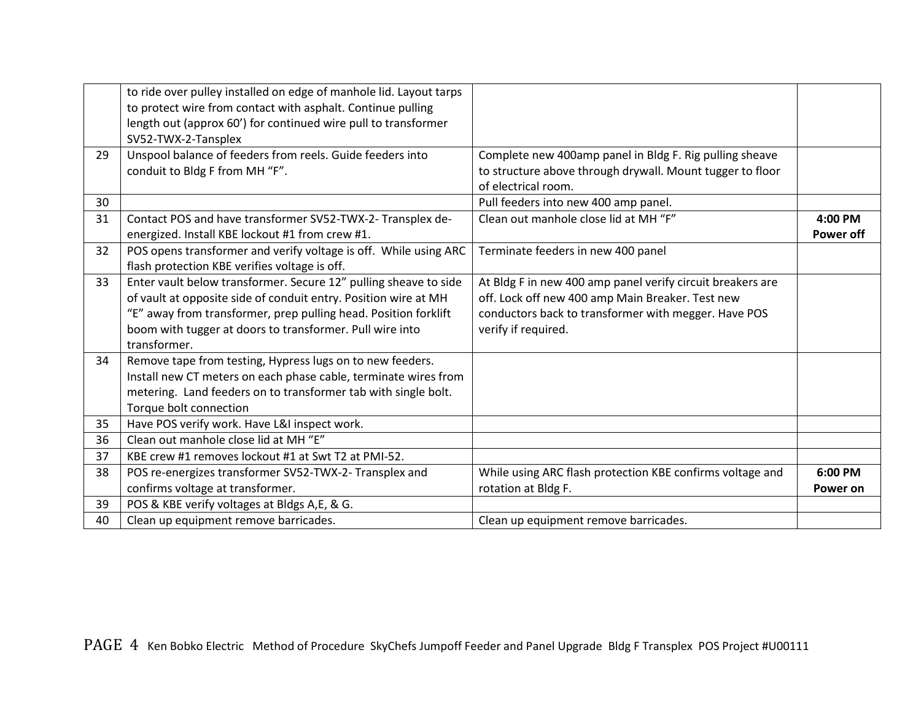|    | to ride over pulley installed on edge of manhole lid. Layout tarps<br>to protect wire from contact with asphalt. Continue pulling<br>length out (approx 60') for continued wire pull to transformer<br>SV52-TWX-2-Tansplex |                                                            |                  |
|----|----------------------------------------------------------------------------------------------------------------------------------------------------------------------------------------------------------------------------|------------------------------------------------------------|------------------|
| 29 | Unspool balance of feeders from reels. Guide feeders into                                                                                                                                                                  | Complete new 400amp panel in Bldg F. Rig pulling sheave    |                  |
|    | conduit to Bldg F from MH "F".                                                                                                                                                                                             | to structure above through drywall. Mount tugger to floor  |                  |
|    |                                                                                                                                                                                                                            | of electrical room.                                        |                  |
| 30 |                                                                                                                                                                                                                            | Pull feeders into new 400 amp panel.                       |                  |
| 31 | Contact POS and have transformer SV52-TWX-2- Transplex de-                                                                                                                                                                 | Clean out manhole close lid at MH "F"                      | 4:00 PM          |
|    | energized. Install KBE lockout #1 from crew #1.                                                                                                                                                                            |                                                            | <b>Power off</b> |
| 32 | POS opens transformer and verify voltage is off. While using ARC                                                                                                                                                           | Terminate feeders in new 400 panel                         |                  |
|    | flash protection KBE verifies voltage is off.                                                                                                                                                                              |                                                            |                  |
| 33 | Enter vault below transformer. Secure 12" pulling sheave to side                                                                                                                                                           | At Bldg F in new 400 amp panel verify circuit breakers are |                  |
|    | of vault at opposite side of conduit entry. Position wire at MH                                                                                                                                                            | off. Lock off new 400 amp Main Breaker. Test new           |                  |
|    | "E" away from transformer, prep pulling head. Position forklift                                                                                                                                                            | conductors back to transformer with megger. Have POS       |                  |
|    | boom with tugger at doors to transformer. Pull wire into                                                                                                                                                                   | verify if required.                                        |                  |
|    | transformer.                                                                                                                                                                                                               |                                                            |                  |
| 34 | Remove tape from testing, Hypress lugs on to new feeders.                                                                                                                                                                  |                                                            |                  |
|    | Install new CT meters on each phase cable, terminate wires from                                                                                                                                                            |                                                            |                  |
|    | metering. Land feeders on to transformer tab with single bolt.                                                                                                                                                             |                                                            |                  |
|    | Torque bolt connection                                                                                                                                                                                                     |                                                            |                  |
| 35 | Have POS verify work. Have L&I inspect work.                                                                                                                                                                               |                                                            |                  |
| 36 | Clean out manhole close lid at MH "E"                                                                                                                                                                                      |                                                            |                  |
| 37 | KBE crew #1 removes lockout #1 at Swt T2 at PMI-52.                                                                                                                                                                        |                                                            |                  |
| 38 | POS re-energizes transformer SV52-TWX-2- Transplex and                                                                                                                                                                     | While using ARC flash protection KBE confirms voltage and  | 6:00 PM          |
|    | confirms voltage at transformer.                                                                                                                                                                                           | rotation at Bldg F.                                        | Power on         |
| 39 | POS & KBE verify voltages at Bldgs A,E, & G.                                                                                                                                                                               |                                                            |                  |
| 40 | Clean up equipment remove barricades.                                                                                                                                                                                      | Clean up equipment remove barricades.                      |                  |